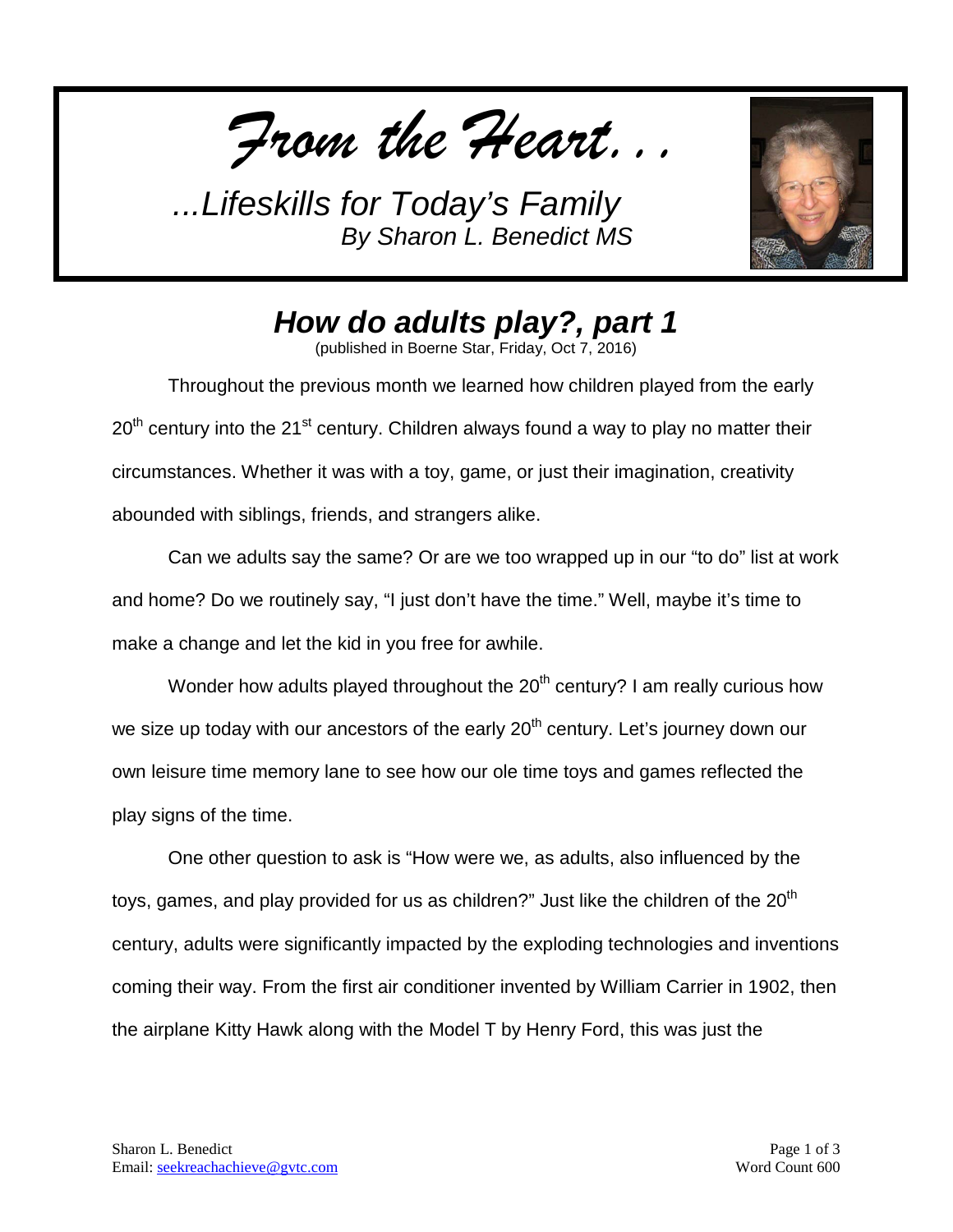*From the Heart...*



*How do adults play?, part 1*

(published in Boerne Star, Friday, Oct 7, 2016)

Throughout the previous month we learned how children played from the early  $20^{\text{th}}$  century into the 21<sup>st</sup> century. Children always found a way to play no matter their circumstances. Whether it was with a toy, game, or just their imagination, creativity abounded with siblings, friends, and strangers alike.

Can we adults say the same? Or are we too wrapped up in our "to do" list at work and home? Do we routinely say, "I just don't have the time." Well, maybe it's time to make a change and let the kid in you free for awhile.

Wonder how adults played throughout the  $20<sup>th</sup>$  century? I am really curious how we size up today with our ancestors of the early 20<sup>th</sup> century. Let's journey down our own leisure time memory lane to see how our ole time toys and games reflected the play signs of the time.

One other question to ask is "How were we, as adults, also influenced by the toys, games, and play provided for us as children?" Just like the children of the 20 $^{\sf th}$ century, adults were significantly impacted by the exploding technologies and inventions coming their way. From the first air conditioner invented by William Carrier in 1902, then the airplane Kitty Hawk along with the Model T by Henry Ford, this was just the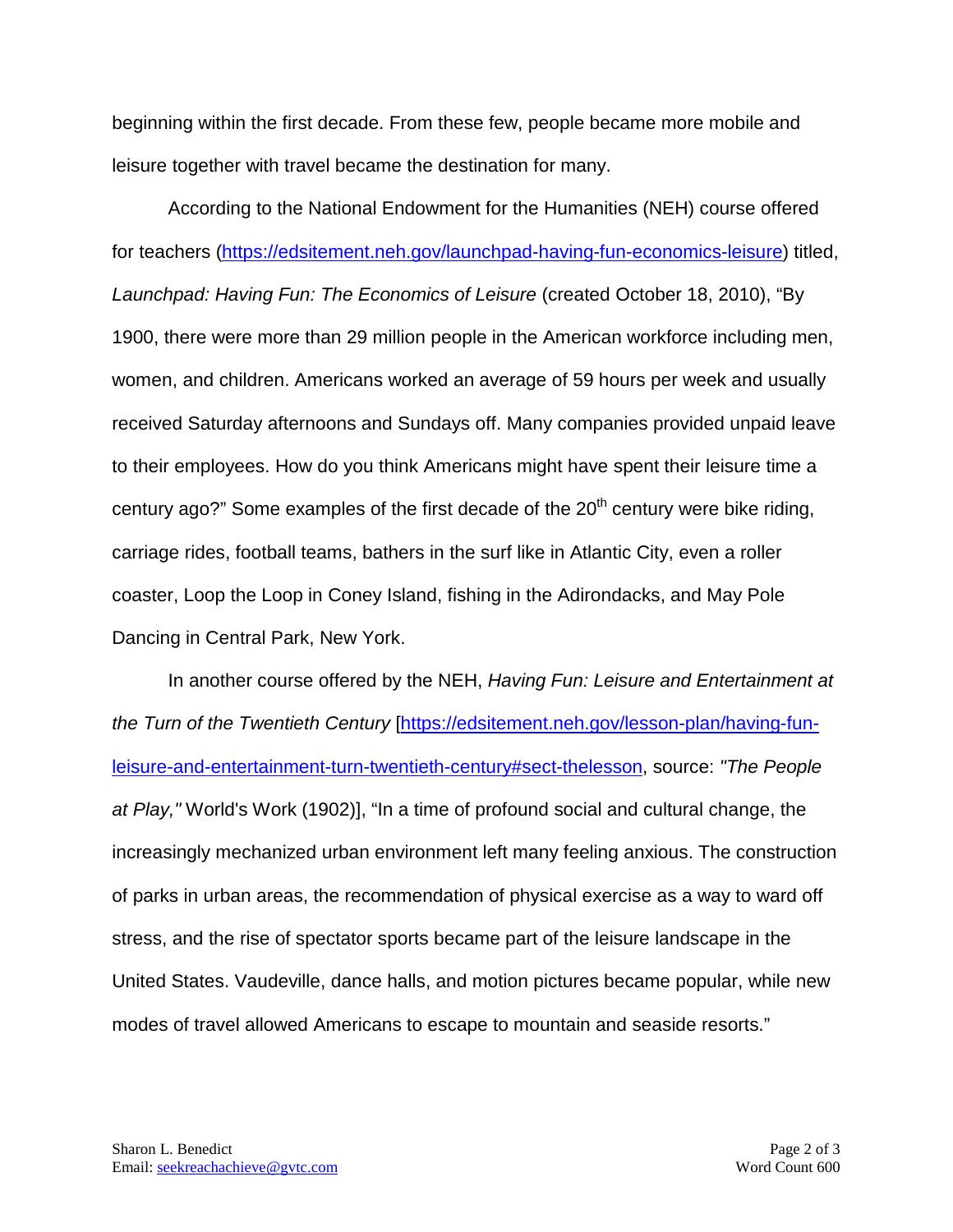beginning within the first decade. From these few, people became more mobile and leisure together with travel became the destination for many.

According to the National Endowment for the Humanities (NEH) course offered for teachers [\(https://edsitement.neh.gov/launchpad-having-fun-economics-leisure\)](https://edsitement.neh.gov/launchpad-having-fun-economics-leisure) titled, *Launchpad: Having Fun: The Economics of Leisure* (created October 18, 2010), "By 1900, there were more than 29 million people in the American workforce including men, women, and children. Americans worked an average of 59 hours per week and usually received Saturday afternoons and Sundays off. Many companies provided unpaid leave to their employees. How do you think Americans might have spent their leisure time a century ago?" Some examples of the first decade of the 20<sup>th</sup> century were bike riding, carriage rides, football teams, bathers in the surf like in Atlantic City, even a roller coaster, Loop the Loop in Coney Island, fishing in the Adirondacks, and May Pole Dancing in Central Park, New York.

In another course offered by the NEH, *Having Fun: Leisure and Entertainment at*  the Turn of the Twentieth Century [[https://edsitement.neh.gov/lesson-plan/having-fun](https://edsitement.neh.gov/lesson-plan/having-fun-leisure-and-entertainment-turn-twentieth-century#sect-thelesson)[leisure-and-entertainment-turn-twentieth-century#sect-thelesson,](https://edsitement.neh.gov/lesson-plan/having-fun-leisure-and-entertainment-turn-twentieth-century#sect-thelesson) source: *"The People at Play,"* World's Work (1902)], "In a time of profound social and cultural change, the increasingly mechanized urban environment left many feeling anxious. The construction of parks in urban areas, the recommendation of physical exercise as a way to ward off stress, and the rise of spectator sports became part of the leisure landscape in the United States. Vaudeville, dance halls, and motion pictures became popular, while new modes of travel allowed Americans to escape to mountain and seaside resorts."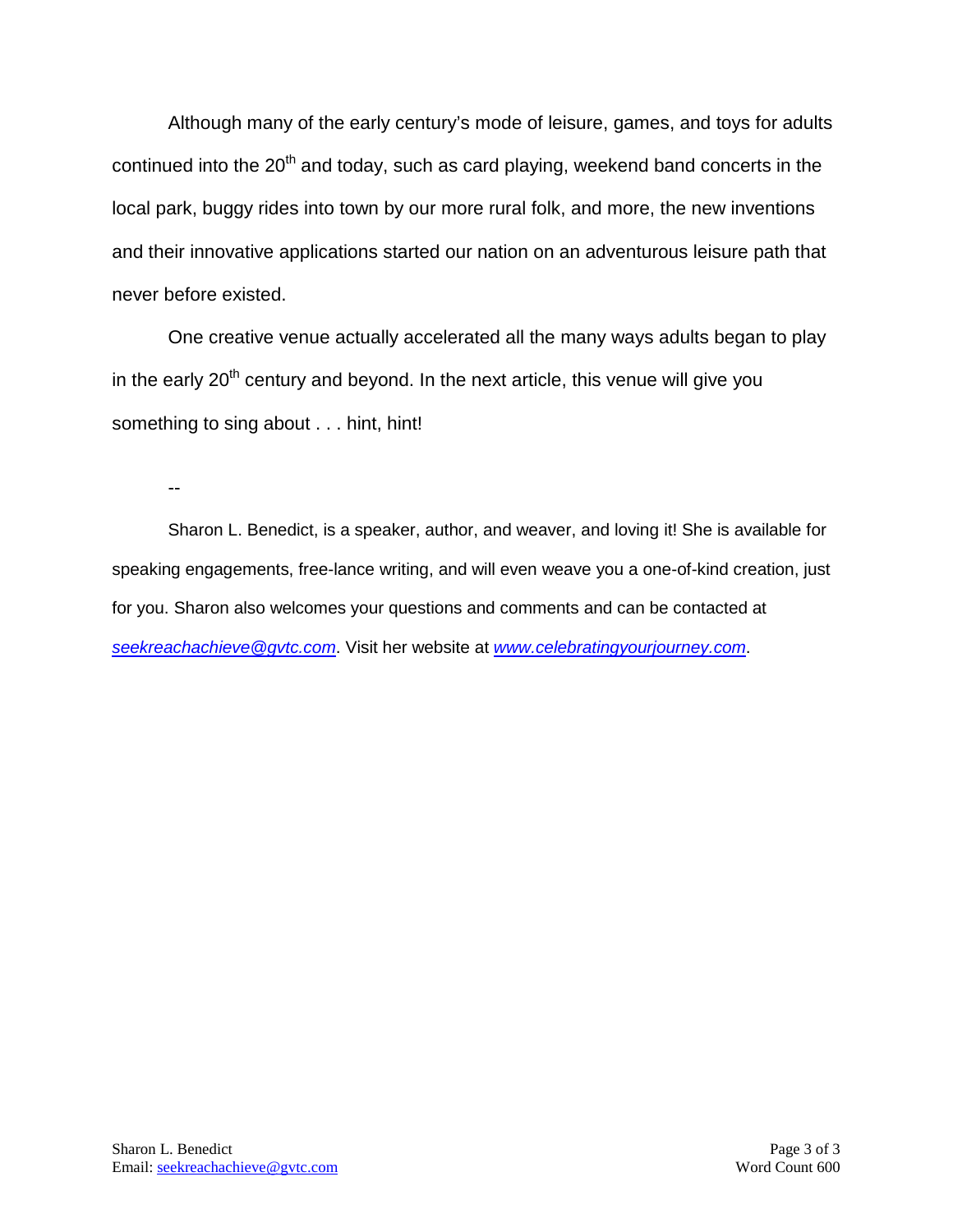Although many of the early century's mode of leisure, games, and toys for adults continued into the 20<sup>th</sup> and today, such as card playing, weekend band concerts in the local park, buggy rides into town by our more rural folk, and more, the new inventions and their innovative applications started our nation on an adventurous leisure path that never before existed.

One creative venue actually accelerated all the many ways adults began to play in the early 20<sup>th</sup> century and beyond. In the next article, this venue will give you something to sing about . . . hint, hint!

--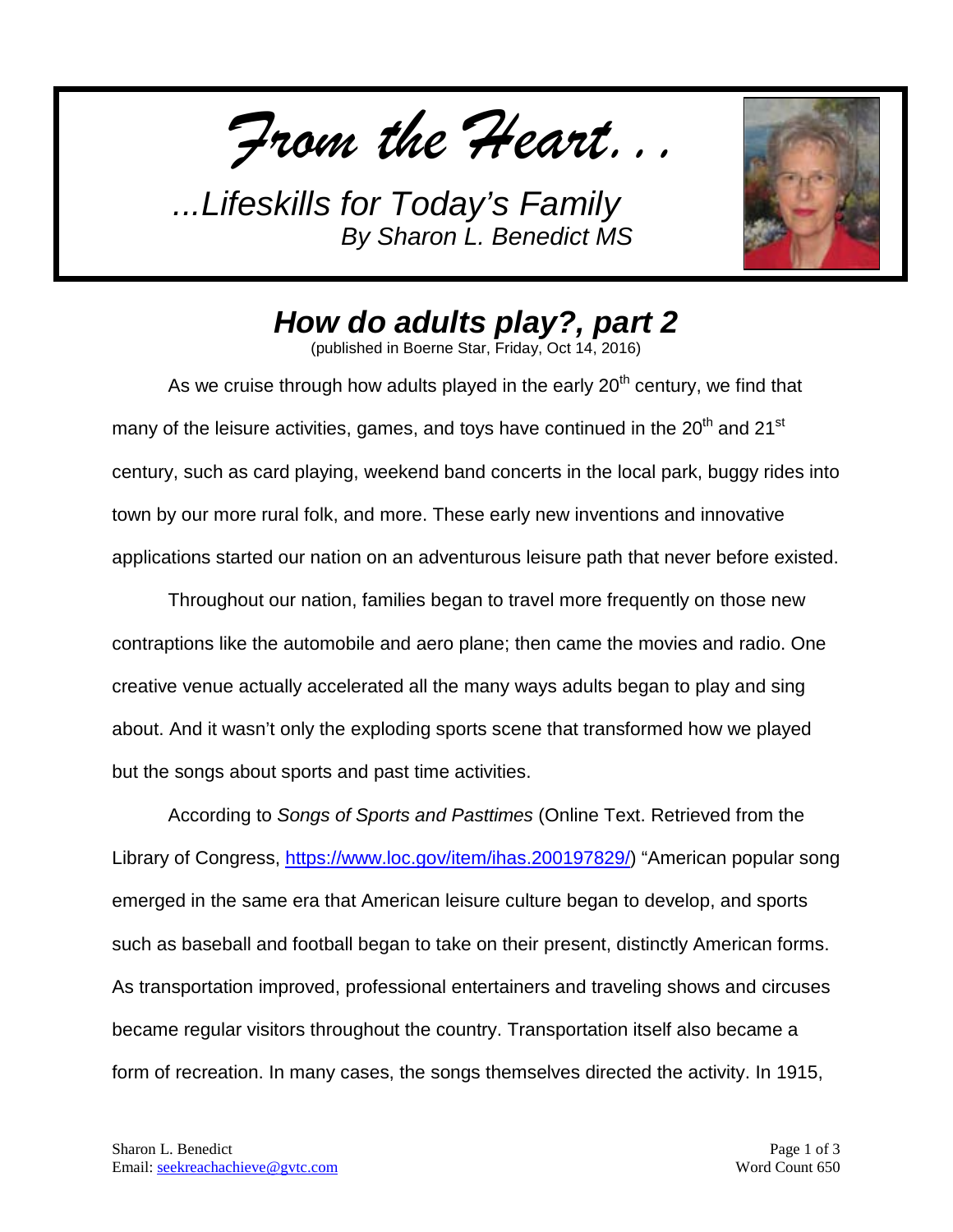*From the Heart...*



## *How do adults play?, part 2*

(published in Boerne Star, Friday, Oct 14, 2016)

As we cruise through how adults played in the early  $20<sup>th</sup>$  century, we find that many of the leisure activities, games, and toys have continued in the  $20<sup>th</sup>$  and  $21<sup>st</sup>$ century, such as card playing, weekend band concerts in the local park, buggy rides into town by our more rural folk, and more. These early new inventions and innovative applications started our nation on an adventurous leisure path that never before existed.

Throughout our nation, families began to travel more frequently on those new contraptions like the automobile and aero plane; then came the movies and radio. One creative venue actually accelerated all the many ways adults began to play and sing about. And it wasn't only the exploding sports scene that transformed how we played but the songs about sports and past time activities.

According to *Songs of Sports and Pasttimes* (Online Text. Retrieved from the Library of Congress, [https://www.loc.gov/item/ihas.200197829/\)](https://www.loc.gov/item/ihas.200197829/) "American popular song emerged in the same era that American leisure culture began to develop, and sports such as baseball and football began to take on their present, distinctly American forms. As transportation improved, professional entertainers and traveling shows and circuses became regular visitors throughout the country. Transportation itself also became a form of recreation. In many cases, the songs themselves directed the activity. In 1915,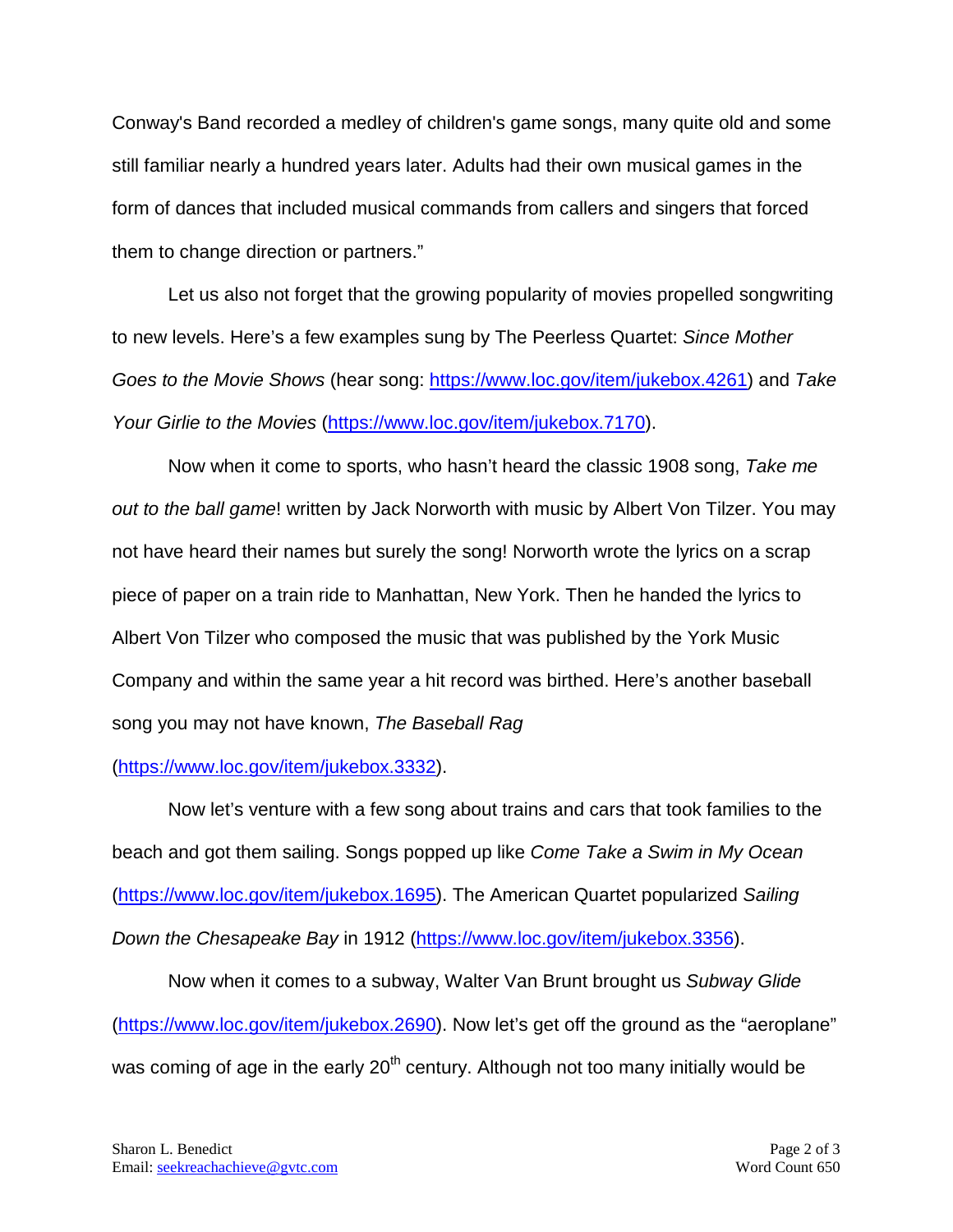Conway's Band recorded a medley of children's game songs, many quite old and some still familiar nearly a hundred years later. Adults had their own musical games in the form of dances that included musical commands from callers and singers that forced them to change direction or partners."

Let us also not forget that the growing popularity of movies propelled songwriting to new levels. Here's a few examples sung by The Peerless Quartet: *Since Mother Goes to the Movie Shows* (hear song: [https://www.loc.gov/item/jukebox.4261\)](https://www.loc.gov/item/jukebox.4261) and *Take Your Girlie to the Movies* [\(https://www.loc.gov/item/jukebox.7170\)](https://www.loc.gov/item/jukebox.7170).

Now when it come to sports, who hasn't heard the classic 1908 song, *Take me out to the ball game*! written by Jack Norworth with music by Albert Von Tilzer. You may not have heard their names but surely the song! Norworth wrote the lyrics on a scrap piece of paper on a train ride to Manhattan, New York. Then he handed the lyrics to Albert Von Tilzer who composed the music that was published by the York Music Company and within the same year a hit record was birthed. Here's another baseball song you may not have known, *The Baseball Rag* 

## [\(https://www.loc.gov/item/jukebox.3332\)](https://www.loc.gov/item/jukebox.3332).

Now let's venture with a few song about trains and cars that took families to the beach and got them sailing. Songs popped up like *Come Take a Swim in My Ocean*  [\(https://www.loc.gov/item/jukebox.1695\)](https://www.loc.gov/item/jukebox.1695). The American Quartet popularized *Sailing Down the Chesapeake Bay* in 1912 [\(https://www.loc.gov/item/jukebox.3356\)](https://www.loc.gov/item/jukebox.3356).

Now when it comes to a subway, Walter Van Brunt brought us *Subway Glide* [\(https://www.loc.gov/item/jukebox.2690\)](https://www.loc.gov/item/jukebox.2690). Now let's get off the ground as the "aeroplane" was coming of age in the early  $20<sup>th</sup>$  century. Although not too many initially would be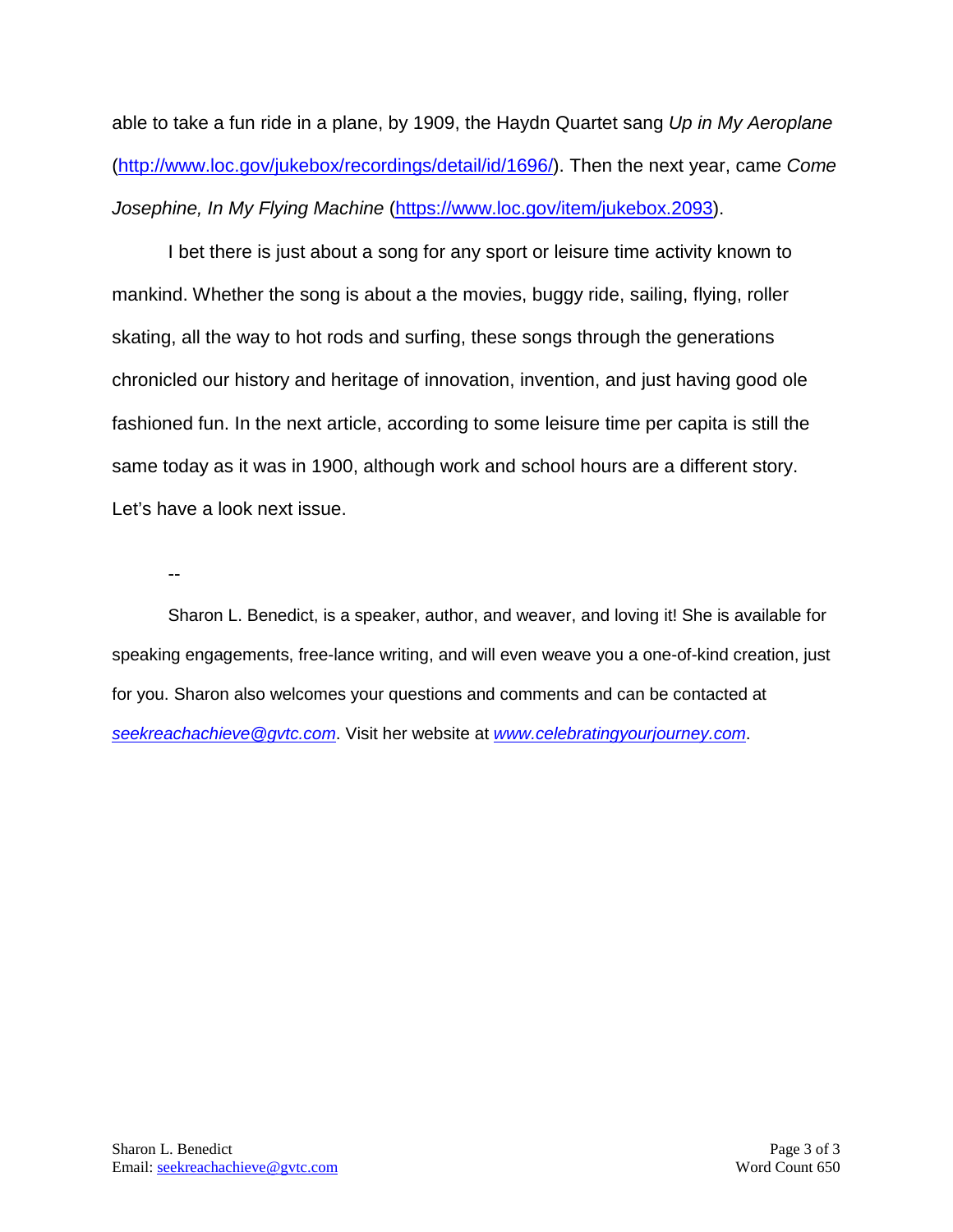able to take a fun ride in a plane, by 1909, the Haydn Quartet sang *Up in My Aeroplane* [\(http://www.loc.gov/jukebox/recordings/detail/id/1696/\)](http://www.loc.gov/jukebox/recordings/detail/id/1696/). Then the next year, came *Come Josephine, In My Flying Machine* [\(https://www.loc.gov/item/jukebox.2093\)](https://www.loc.gov/item/jukebox.2093).

I bet there is just about a song for any sport or leisure time activity known to mankind. Whether the song is about a the movies, buggy ride, sailing, flying, roller skating, all the way to hot rods and surfing, these songs through the generations chronicled our history and heritage of innovation, invention, and just having good ole fashioned fun. In the next article, according to some leisure time per capita is still the same today as it was in 1900, although work and school hours are a different story. Let's have a look next issue.

--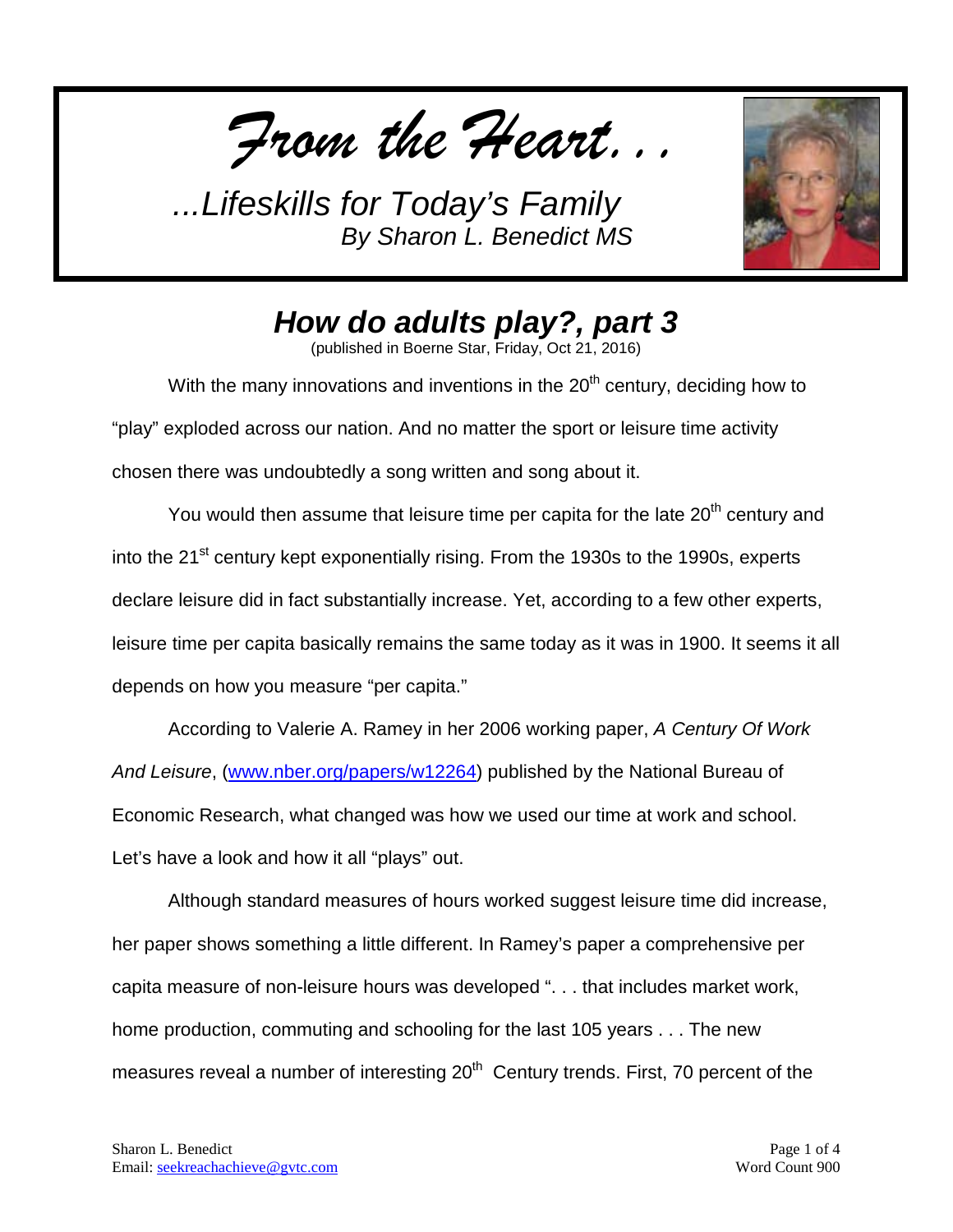*From the Heart...*



*How do adults play?, part 3*

(published in Boerne Star, Friday, Oct 21, 2016)

With the many innovations and inventions in the 20<sup>th</sup> century, deciding how to "play" exploded across our nation. And no matter the sport or leisure time activity chosen there was undoubtedly a song written and song about it.

You would then assume that leisure time per capita for the late 20<sup>th</sup> century and into the 21<sup>st</sup> century kept exponentially rising. From the 1930s to the 1990s, experts declare leisure did in fact substantially increase. Yet, according to a few other experts, leisure time per capita basically remains the same today as it was in 1900. It seems it all depends on how you measure "per capita."

According to Valerie A. Ramey in her 2006 working paper, *A Century Of Work And Leisure*, ( [www.nber.org/papers/w12264\)](http://www.nber.org/papers/w12264) published by the National Bureau of Economic Research, what changed was how we used our time at work and school. Let's have a look and how it all "plays" out.

Although standard measures of hours worked suggest leisure time did increase, her paper shows something a little different. In Ramey's paper a comprehensive per capita measure of non-leisure hours was developed ". . . that includes market work, home production, commuting and schooling for the last 105 years . . . The new measures reveal a number of interesting 20<sup>th</sup> Century trends. First, 70 percent of the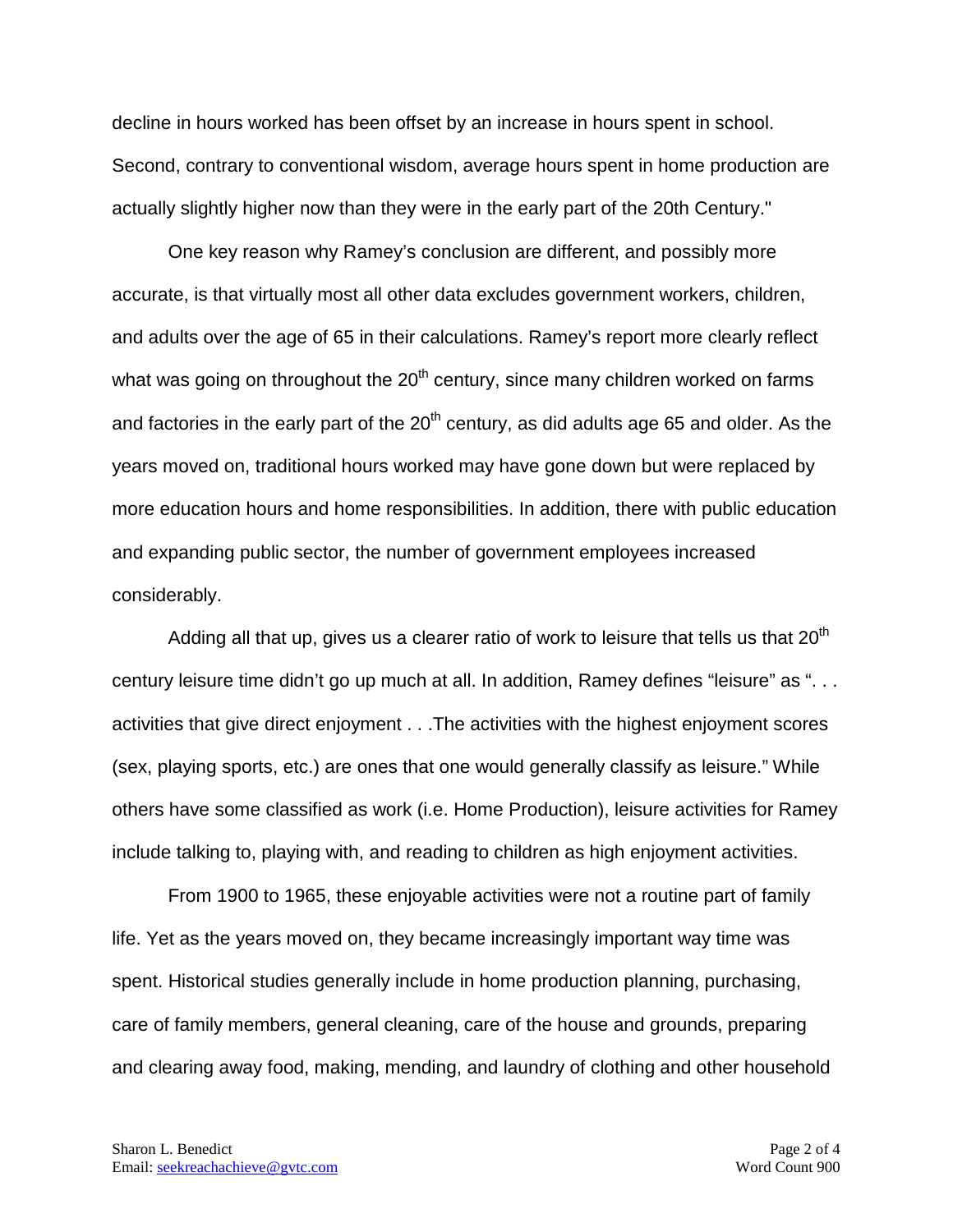decline in hours worked has been offset by an increase in hours spent in school. Second, contrary to conventional wisdom, average hours spent in home production are actually slightly higher now than they were in the early part of the 20th Century."

One key reason why Ramey's conclusion are different, and possibly more accurate, is that virtually most all other data excludes government workers, children, and adults over the age of 65 in their calculations. Ramey's report more clearly reflect what was going on throughout the  $20<sup>th</sup>$  century, since many children worked on farms and factories in the early part of the  $20<sup>th</sup>$  century, as did adults age 65 and older. As the years moved on, traditional hours worked may have gone down but were replaced by more education hours and home responsibilities. In addition, there with public education and expanding public sector, the number of government employees increased considerably.

Adding all that up, gives us a clearer ratio of work to leisure that tells us that 20<sup>th</sup> century leisure time didn't go up much at all. In addition, Ramey defines "leisure" as "... activities that give direct enjoyment . . .The activities with the highest enjoyment scores (sex, playing sports, etc.) are ones that one would generally classify as leisure." While others have some classified as work (i.e. Home Production), leisure activities for Ramey include talking to, playing with, and reading to children as high enjoyment activities.

From 1900 to 1965, these enjoyable activities were not a routine part of family life. Yet as the years moved on, they became increasingly important way time was spent. Historical studies generally include in home production planning, purchasing, care of family members, general cleaning, care of the house and grounds, preparing and clearing away food, making, mending, and laundry of clothing and other household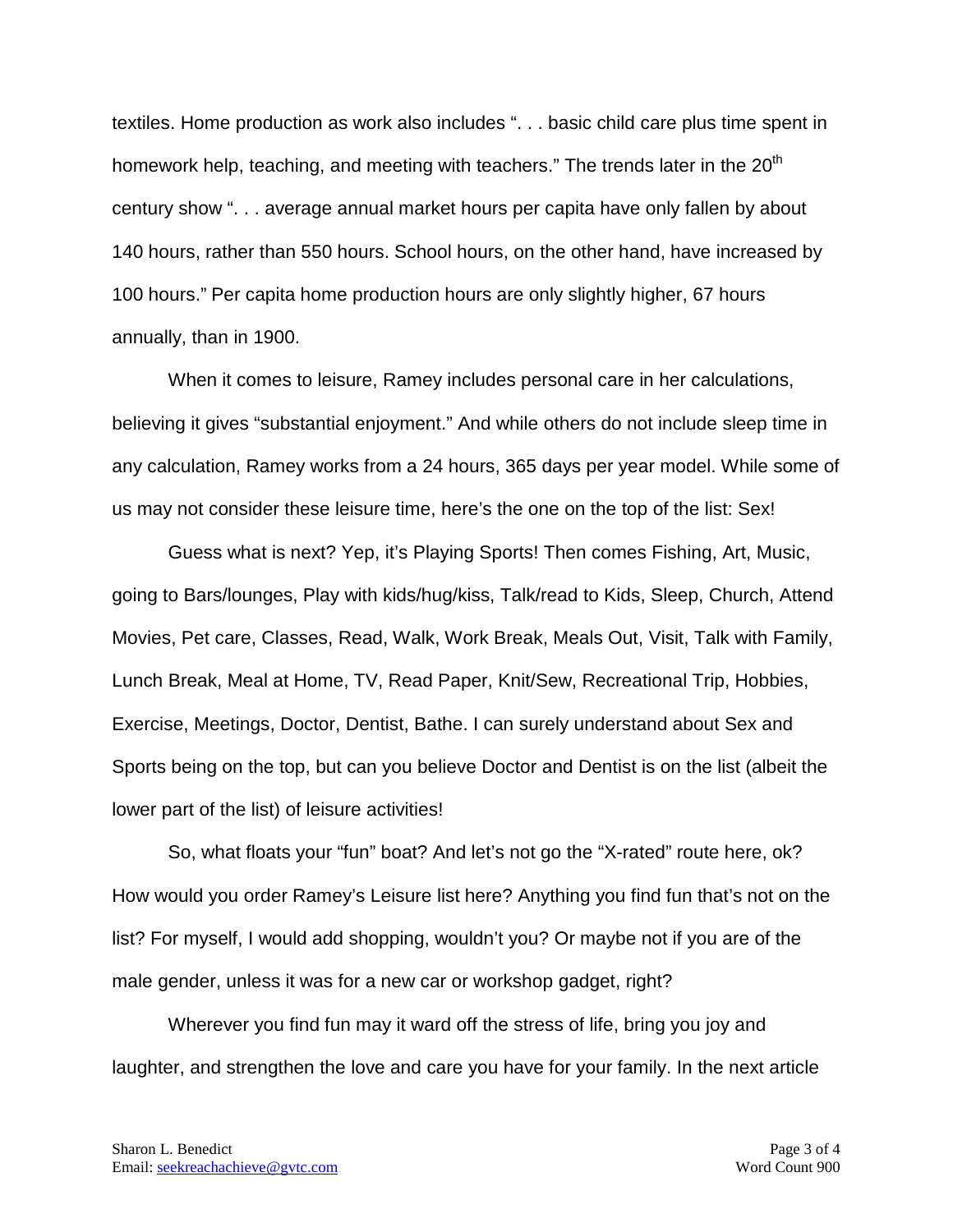textiles. Home production as work also includes ". . . basic child care plus time spent in homework help, teaching, and meeting with teachers." The trends later in the  $20<sup>th</sup>$ century show ". . . average annual market hours per capita have only fallen by about 140 hours, rather than 550 hours. School hours, on the other hand, have increased by 100 hours." Per capita home production hours are only slightly higher, 67 hours annually, than in 1900.

When it comes to leisure, Ramey includes personal care in her calculations, believing it gives "substantial enjoyment." And while others do not include sleep time in any calculation, Ramey works from a 24 hours, 365 days per year model. While some of us may not consider these leisure time, here's the one on the top of the list: Sex!

Guess what is next? Yep, it's Playing Sports! Then comes Fishing, Art, Music, going to Bars/lounges, Play with kids/hug/kiss, Talk/read to Kids, Sleep, Church, Attend Movies, Pet care, Classes, Read, Walk, Work Break, Meals Out, Visit, Talk with Family, Lunch Break, Meal at Home, TV, Read Paper, Knit/Sew, Recreational Trip, Hobbies, Exercise, Meetings, Doctor, Dentist, Bathe. I can surely understand about Sex and Sports being on the top, but can you believe Doctor and Dentist is on the list (albeit the lower part of the list) of leisure activities!

So, what floats your "fun" boat? And let's not go the "X-rated" route here, ok? How would you order Ramey's Leisure list here? Anything you find fun that's not on the list? For myself, I would add shopping, wouldn't you? Or maybe not if you are of the male gender, unless it was for a new car or workshop gadget, right?

Wherever you find fun may it ward off the stress of life, bring you joy and laughter, and strengthen the love and care you have for your family. In the next article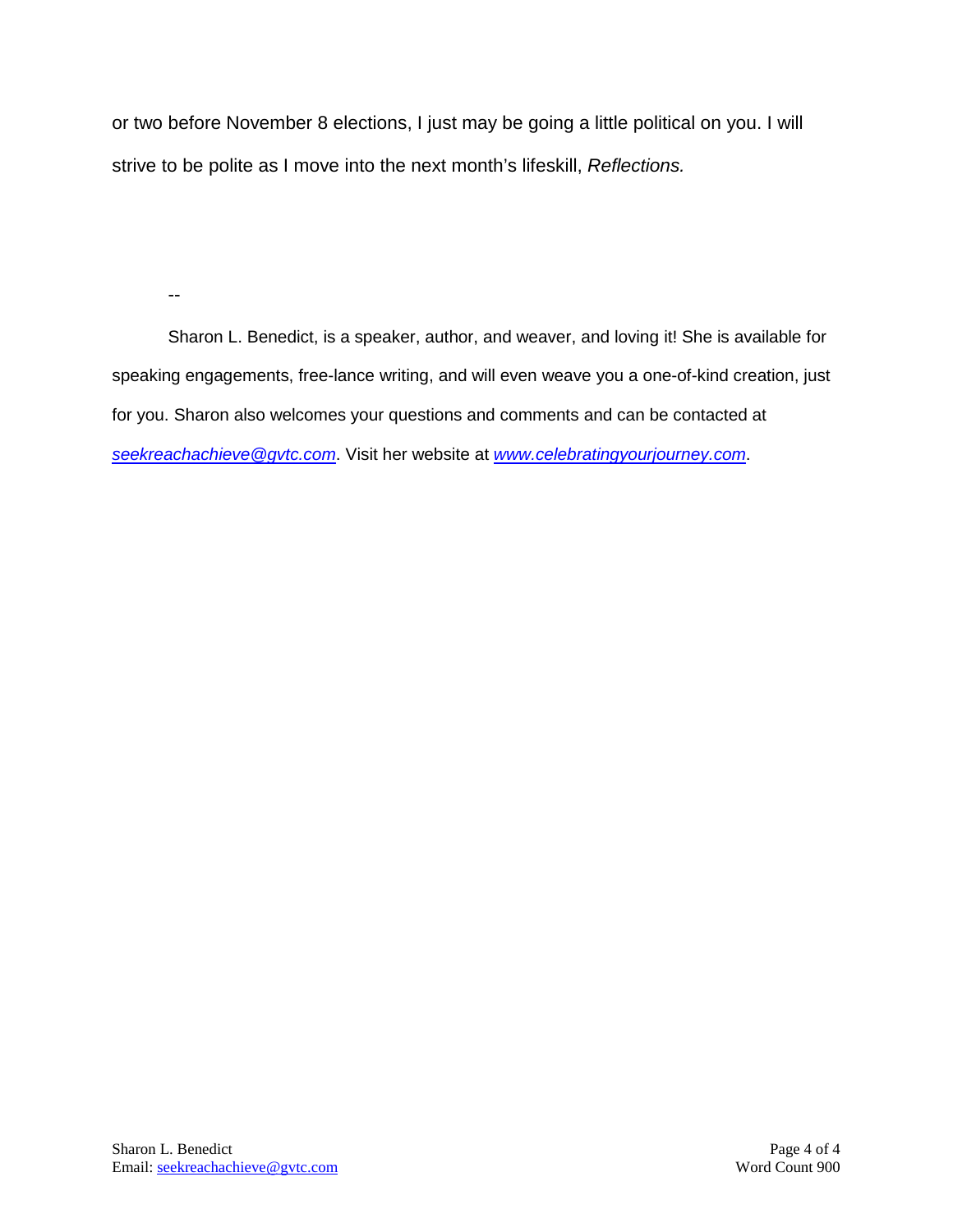or two before November 8 elections, I just may be going a little political on you. I will strive to be polite as I move into the next month's lifeskill, *Reflections.*

--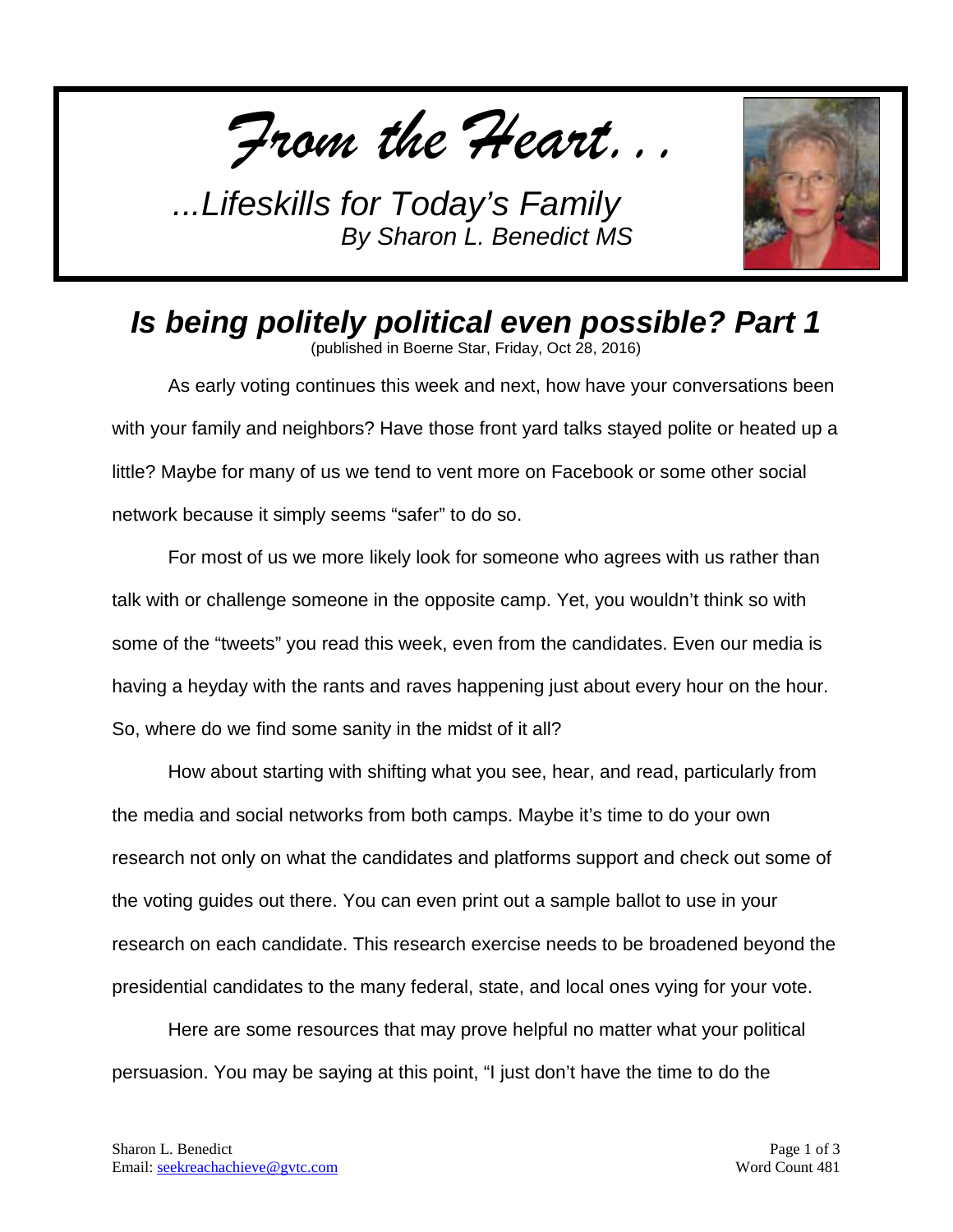*From the Heart...*



*Is being politely political even possible? Part 1*

(published in Boerne Star, Friday, Oct 28, 2016)

As early voting continues this week and next, how have your conversations been with your family and neighbors? Have those front yard talks stayed polite or heated up a little? Maybe for many of us we tend to vent more on Facebook or some other social network because it simply seems "safer" to do so.

For most of us we more likely look for someone who agrees with us rather than talk with or challenge someone in the opposite camp. Yet, you wouldn't think so with some of the "tweets" you read this week, even from the candidates. Even our media is having a heyday with the rants and raves happening just about every hour on the hour. So, where do we find some sanity in the midst of it all?

How about starting with shifting what you see, hear, and read, particularly from the media and social networks from both camps. Maybe it's time to do your own research not only on what the candidates and platforms support and check out some of the voting guides out there. You can even print out a sample ballot to use in your research on each candidate. This research exercise needs to be broadened beyond the presidential candidates to the many federal, state, and local ones vying for your vote.

Here are some resources that may prove helpful no matter what your political persuasion. You may be saying at this point, "I just don't have the time to do the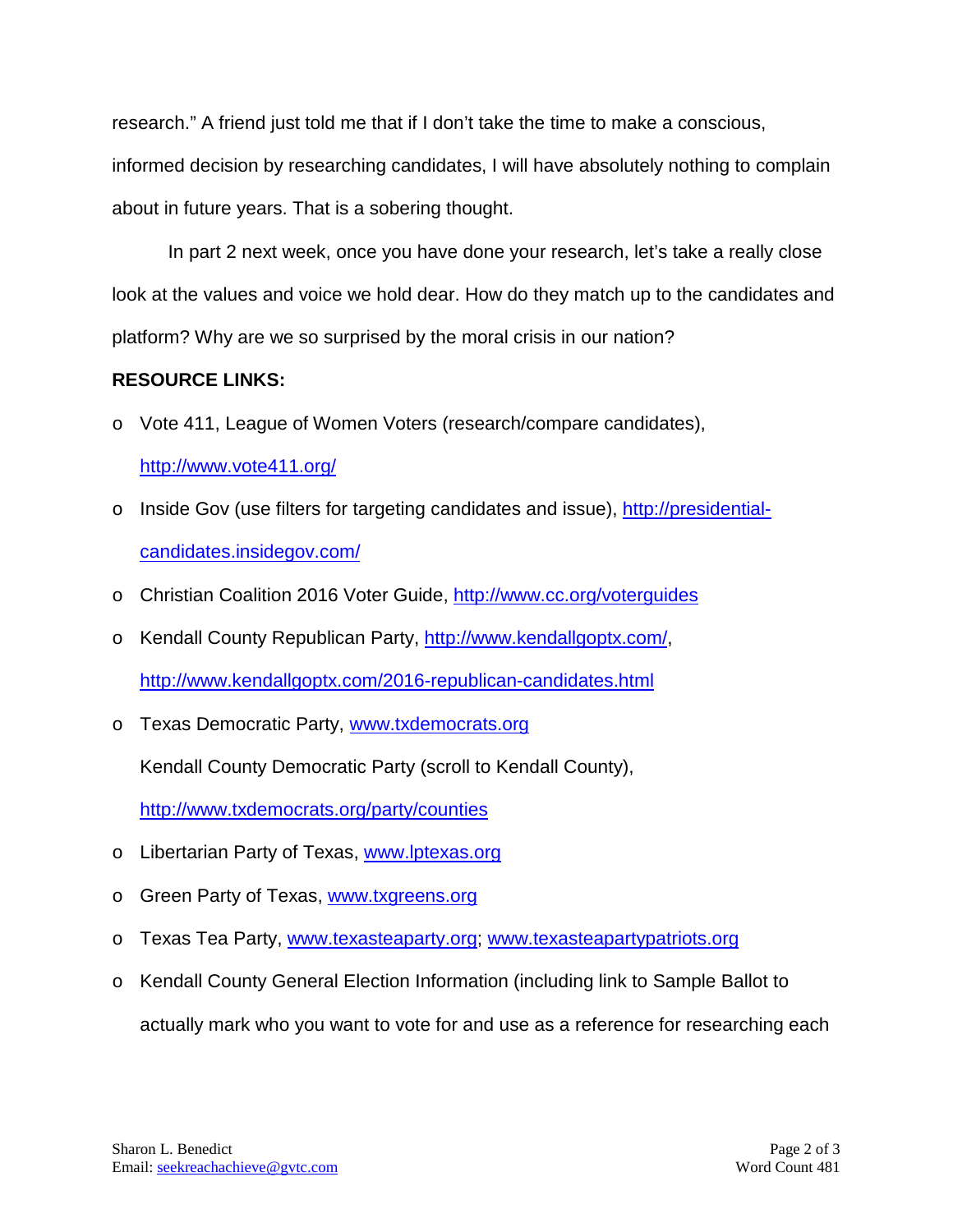research." A friend just told me that if I don't take the time to make a conscious,

informed decision by researching candidates, I will have absolutely nothing to complain about in future years. That is a sobering thought.

In part 2 next week, once you have done your research, let's take a really close look at the values and voice we hold dear. How do they match up to the candidates and platform? Why are we so surprised by the moral crisis in our nation?

## **RESOURCE LINKS:**

o Vote 411, League of Women Voters (research/compare candidates),

```
http://www.vote411.org/
```
- o Inside Gov (use filters for targeting candidates and issue), [http://presidential](http://presidential-candidates.insidegov.com/)[candidates.insidegov.com/](http://presidential-candidates.insidegov.com/)
- o Christian Coalition 2016 Voter Guide,<http://www.cc.org/voterguides>
- o Kendall County Republican Party, [http://www.kendallgoptx.com/,](http://www.kendallgoptx.com/) <http://www.kendallgoptx.com/2016-republican-candidates.html>
- o Texas Democratic Party, [www.txdemocrats.org](http://www.txdemocrats.org/)

Kendall County Democratic Party (scroll to Kendall County),

<http://www.txdemocrats.org/party/counties>

- o Libertarian Party of Texas, [www.lptexas.org](http://www.lptexas.org/)
- o Green Party of Texas, [www.txgreens.org](http://www.txgreens.org/)
- o Texas Tea Party, [www.texasteaparty.org;](http://www.texasteaparty.org/) [www.texasteapartypatriots.org](http://www.texasteapartypatriots.org/)
- o Kendall County General Election Information (including link to Sample Ballot to actually mark who you want to vote for and use as a reference for researching each